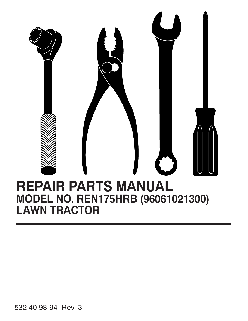

532 40 98-94 Rev. 3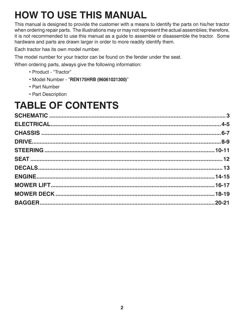# **HOW TO USE THIS MANUAL**

This manual is designed to provide the customer with a means to identify the parts on his/her tractor when ordering repair parts. The illustrations may or may not represent the actual assemblies; therefore, it is not recommended to use this manual as a guide to assemble or disassemble the tractor. Some hardware and parts are drawn larger in order to more readily identify them.

Each tractor has its own model number.

The model number for your tractor can be found on the fender under the seat.

When ordering parts, always give the following information:

- Product "Tractor"
- Model Number "**REN175HRB (96061021300)**"
- Part Number
- Part Description

## **TABLE OF CONTENTS**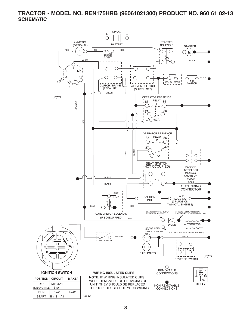**TRACTOR - MODEL NO. REN175HRB (96061021300) PRODUCT NO. 960 61 02-13 SCHEMATIC**



**3**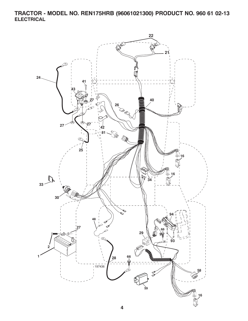**TRACTOR - MODEL NO. REN175HRB (96061021300) PRODUCT NO. 960 61 02-13 ELECTRICAL**

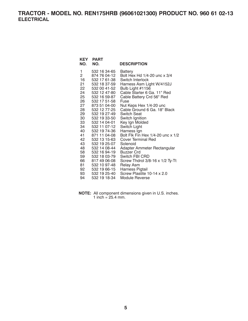## **TRACTOR - MODEL NO. REN175HRB (96061021300) PRODUCT NO. 960 61 02-13 ELECTRICAL**

| KEY<br>NO.     | <b>PART</b><br>NO.           | <b>DESCRIPTION</b>                                      |
|----------------|------------------------------|---------------------------------------------------------|
| 1              | 532 16 34-65                 | <b>Battery</b>                                          |
| $\overline{2}$ | 874 76 04-12                 | Bolt Hex Hd 1/4-20 unc x 3/4                            |
| 16             | 532 17 61-38                 | Switch Interlock                                        |
| 21.            | 532 18 37-59                 | Harness Asm Light W/4152J                               |
| 22             | 532 00 41-52                 | Bulb Light #1156                                        |
| 24             | 532 12 47-80                 | Cable Starter 6 Ga. 11" Red                             |
| 25             | 532 16 59-87<br>532 17 51-58 | Cable Battery Crd 56" Red<br>Fuse                       |
| 26<br>27       | 873 51 04-00                 |                                                         |
| 28             | 532 12 77-25                 | Nut Keps Hex 1/4-20 unc<br>Cable Ground 6 Ga. 18" Black |
| 29             | 532 19 27-49                 | Switch Seat                                             |
| 30             | 532 19 33-50                 | Switch Ignition                                         |
| 33             | 532 14 04-01                 | Key Ign Molded                                          |
| 34             | 532 11 07-12                 | Switch Light                                            |
| 40             | 532 19 74-36                 | Harness Ign                                             |
| 41             | 871 11 04-08                 | Bolt Flk Fin Hex 1/4-20 unc x 1/2                       |
| 42             | 532 13 15-63                 | <b>Cover Terminal Red</b>                               |
| 43             | 532 19 25-07                 | Solenoid                                                |
| 48             | 532 14 08-44                 | Adapter Ammeter Rectangular                             |
| 58             | 532 16 94-19                 | <b>Buzzer Crd</b>                                       |
| 59             | 532 18 03-79                 | Switch FBI CRD                                          |
| 66             | 817 49 06-08                 | Screw Thdrol 3/8-16 x 1/2 Ty-Tt                         |
| 81.            | 532 10 97-48                 | <b>Relay Asm</b>                                        |
| 92             | 532 19 66-15                 | Harness Pigtail                                         |
| 93             | 532 19 25-40                 | Screw Plastite 10-14 x 2.0                              |
| 94             | 532 19 18-34                 | Module Reverse                                          |

**NOTE:** All component dimensions given in U.S. inches. 1 inch =  $25.4$  mm.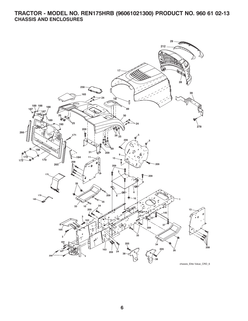## **TRACTOR - MODEL NO. REN175HRB (96061021300) PRODUCT NO. 960 61 02-13 CHASSIS AND ENCLOSURES**

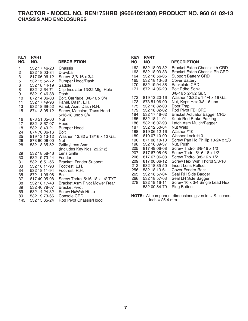### **TRACTOR - MODEL NO. REN175HRB (96061021300) PRODUCT NO. 960 61 02-13 CHASSIS AND ENCLOSURES**

| <b>KEY</b><br>NO. | <b>PART</b><br>NO. | <b>DESCRIPTION</b>             | <b>KEY</b><br>NO. | <b>PART</b><br>NO.  | <b>DESCRIPTION</b>                                          |
|-------------------|--------------------|--------------------------------|-------------------|---------------------|-------------------------------------------------------------|
| 1                 | 532 17 46-20       | Chassis                        | 162               | 532 18 03-82        | <b>Bracket Exten Chassis Lh CRD</b>                         |
| $\overline{c}$    | 532 18 03-84       | Drawbar                        | 163               | 532 18 03-83        | <b>Bracket Exten Chassis Rh CRD</b>                         |
| 3                 | 817 06 06-12       | Screw 3/8-16 x 3/4             | 164               | 532 16 56-05        | <b>Support Battery CRD</b>                                  |
| 5                 | 532 15 52-72       | Bumper Hood/Dash               | 165               | 532 18 13-56        | <b>Cover Battery</b>                                        |
| $\,6$             | 532 18 44-19       | Saddle                         | 170               | 532 19 94-88        | <b>Backplate CRD</b>                                        |
| 8                 | 532 12 64-71       | Clip Insulator 13/32 Mtg. Hole | 171               | 872 14 06-20        | <b>Bolt Rdhd Sqnk</b>                                       |
| 9                 | 532 19 46-88       | Dash                           |                   |                     | $3/8 - 16 \times 2 - 1/2$ Gr. 5                             |
| 10                | 872 14 06-08       | Bolt, Carriage 3/8-16 x 3/4    | 172               | 819 13 20-16        | Washer 13/32 x 1-1/4 x 16 Ga.                               |
| 11                | 532 17 49-96       | Panel, Dash, L.H.              | 173               | 873 51 06-00        | Nut, Keps Hex 3/8-16 unc                                    |
| 13                | 532 18 69-52       | Panel, Asm. Dash R.H.          | 175               | 532 18 82-03        | Door Trap                                                   |
| 15                | 874 18 05-12       | Screw, Machine, Truss Head     | 179               | 532 18 82-02        | Rod Pivot FBI CRD                                           |
|                   |                    | $5/16 - 18$ unc x 3/4          | 184               | 532 17 46-62        | <b>Bracket Actuator Bagger CRD</b>                          |
| 16                | 873 51 05-00       | <b>Nut</b>                     | 185               | 532 18 11-01        | Knob Rod Brake Parking                                      |
| 17                | 532 18 67-07       | Hood                           | 186               | 532 16 07-93        | Latch Asm Mulch/Bagger                                      |
| 18                | 532 18 49-21       | Bumper Hood                    | 187               | 532 12 50-04        | <b>Nut Weld</b>                                             |
| 24                | 874 78 06-16       | <b>Bolt</b>                    | 188               | 819 06 12-16        | Washer #10                                                  |
| 25                | 819 13 13-12       | Washer 13/32 x 13/16 x 12 Ga.  | 189               | 810 07 10-00        | Washer Lock #10                                             |
| 26                | 873 80 06-00       | <b>Nut</b>                     | 190               | 871 08 10-10        | Screw Pan Hd Phillip 10-24 x 5/8                            |
| 28                | 532 18 35-52       | Grille /Lens Asm               | 198               | 532 16 89-37        | Nut, Push                                                   |
|                   |                    | (Includes Key Nos. 29,212)     | 205               | 817 49 06-08        | Screw Thdrol $3/8-16 \times 1/2$                            |
| 29                | 532 18 58-46       | Lens Grille                    | 207               | 817 67 05-08        | Screw Thdrl. 5/16-18 x 1/2                                  |
| 30                | 532 19 73-44       | Fender                         | 208               | 817 67 06-08        | Screw Thdrol $3/8-16 \times 1/2$                            |
| 31                | 532 16 51-56       | Bracket, Fender Support        | 209               | 817 00 06-12        | Screw Hex Wsh Thdrol 3/8-16                                 |
| 33                | 532 18 11-93       | Footrest, L.H.                 | 212               | 532 18 35-50        | Insert Lens Reflect                                         |
| 34                | 532 18 11-94       | Footrest, R.H.                 | 256               | 532 18 13-61        | <b>Cover Fender Rack</b>                                    |
| 35                | 872 11 06-06       | <b>Bolt</b>                    | 265               | 532 18 57-04        | Seal RH Side Bagger                                         |
| 37                | 817 49 05-08       | Screw Thdrol 5/16-18 x 1/2 TYT | 266               | 532 18 57-03        | Seal LH Side Bagger                                         |
| 38                | 532 18 17-48       | Bracket Asm Pivot Mower Rear   | 278               | 532 19 16-11        | Screw 10 x 3/4 Single Lead Hex                              |
| 39                | 532 40 78-07       | <b>Bracket Pivot</b>           | $\sim$ $\sim$     | 532 00 54-79        | <b>Plug Button</b>                                          |
| 69                | 532 14 24-32       | Screw HxWsh Hi-Lo              |                   |                     |                                                             |
| 89                | 532 19 73-66       | Console CRD                    |                   |                     | <b>NOTE:</b> All component dimensions given in U.S. inches. |
| 145               | 532 15 65-24       | Rod Pivot Chassis/Hood         |                   | 1 inch = $25.4$ mm. |                                                             |

**7**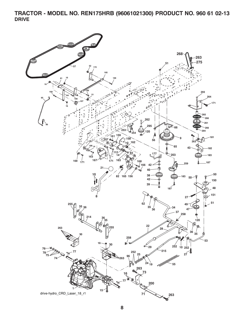**TRACTOR - MODEL NO. REN175HRB (96061021300) PRODUCT NO. 960 61 02-13 DRIVE**

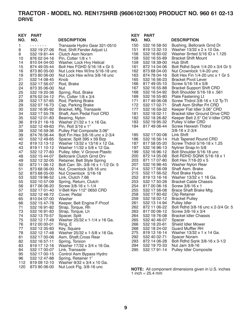## **TRACTOR - MODEL NO. REN175HRB (96061021300) PRODUCT NO. 960 61 02-13 DRIVE**

| <b>KEY</b> | <b>PART</b>                  |                                                                | <b>KEY</b> | <b>PART</b>  |                                                                                                    |
|------------|------------------------------|----------------------------------------------------------------|------------|--------------|----------------------------------------------------------------------------------------------------|
| NO.        | NO.                          | <b>DESCRIPTION</b>                                             | NO.        | NO.          | <b>DESCRIPTION</b>                                                                                 |
| 1          | - - - - - - -                | Transaxle Hydro Gear 321-0510                                  | 150        | 532 16 58-50 | Bushing, Bellcrank Grnd Dr                                                                         |
| 8          | 532 19 27-06                 | Rod, Shift Fender Adjust Lt                                    | 151        | 819 13 32-10 | Washer 13/32 x 2 x 10 Ga.                                                                          |
| 9          | 532 19 81-44                 | Clutch Asm Noram                                               | 156        | 532 16 60-02 | Washer Srrted $5/16$ ID x 1.125                                                                    |
| 10         | 876 02 04-16                 | Pin, Cotter $1/8 \times 1$                                     | 158        | 532 16 55-89 | <b>Bracket Shift Mount</b>                                                                         |
| 14         | 810 04 04-00                 | Washer, Lock Hvy Helical                                       | 159        | 532 18 39-00 | Hub Shift                                                                                          |
| 15         | 874 49 05-44                 | Bolt Hex FGHD 5/16-18 x Gr 5                                   | 161        | 872 14 04-06 | Bolt Rdhd Sqnk 1/4-20 x 3/4 Gr 5                                                                   |
| 16         | 873 80 05-00                 | Nut Lock Hex W/Ins 5/16-18 unc                                 | 162        | 873 68 04-00 | Nut Crownlock 1/4-20 unc                                                                           |
| 19         | 873 80 06-00                 | Nut Lock Hex w/Ins 3/8-16 unc                                  | 163        | 874 78 04-16 | Bolt Hex Fin 1/4-20 unc x 1 Gr 5                                                                   |
| 21         | 532 14 08-45                 | Knob                                                           | 165        | 532 16 56-23 | <b>Bracket Pivot Lever</b>                                                                         |
| 22         | 532 17 56-07                 | Rod, Brake                                                     | 166        | 817 49 05-10 | Screw 5/16-18 x 5/8                                                                                |
| 24         | 873 35 06-00                 | Nut                                                            | 167        | 532 16 55-88 | <b>Bracket Support Shift CRD</b>                                                                   |
| 25         | 532 19 20-36                 | Spring, Rod, Brake                                             | 168        | 532 16 54-92 | Bolt Shoulder 5/16-18 x .561                                                                       |
| 27         | 876 02 04-12                 | Pin, Cotter $1/8 \times 3/4$                                   | 169        | 532 16 55-80 | Plate Fastening Lt                                                                                 |
| 28         | 532 17 57-65                 | Rod, Parking Brake                                             | 171        | 817 49 06-08 | Screw Thdrol 3/8-16 x 1/2 Ty-Tt                                                                    |
| 29         | 532 07 16-73                 | Cap, Parking Brake                                             | 172        | 532 17 02-71 | Shaft Asm Shifter Frt CRD                                                                          |
| 30         | 532 16 95-92                 | Bracket, Mfg. Transaxle                                        | 177        | 532 16 59-32 | Keeper Flat Idler 3.06" CRD                                                                        |
| 34         | 532 17 55-78                 | Shaft, Asm Pedal Foot CRD                                      | 181        | 532 18 02-11 | <b>Bracket Idler Ground Drive CRD</b>                                                              |
| 35         | 532 12 01-83                 | Bearing, Nylon                                                 | 182        | 532 18 26-82 | Keeper Belt 2.5" Od V-Idler CRD                                                                    |
| 36         | 819 21 16-16                 | Washer 21/32 x 1 x 16 Ga.                                      | 183        | 532 19 95-32 | Pulley V-Idler CRD                                                                                 |
| 37         | 532 12 49-63<br>532 16 59-36 | Pin, Roll 3/16 x 1"                                            | 184        | 817 49 06-44 | Screw Hexwsh Thdrol<br>$3/8 - 16 \times 2 - 3/4$                                                   |
| 38<br>39   |                              | Pulley Flat Composite 3.06"<br>Bolt Fin Hex 3/8-16 unc x 2-3/4 | 185        | 532 17 00-08 | Link Shift                                                                                         |
| 40         | 874 76 06-44<br>532 12 49-65 | Spacer, Split 395 x 59 Bzp                                     | 186        | 532 16 56-14 | Hub Tapered Round CRD                                                                              |
| 42         | 819 13 13 12                 | Washer 13/32 x 13/16 x 12 Ga.                                  | 187        | 817 58 05-20 | Screw Thdrol 5/16-18 x 1.25                                                                        |
| 43         | 819 11 10-12                 | Washer 11/32 x 5/8 x 12 Ga.                                    | 197        | 532 16 96-13 | Nyliner Snap-In 5/8                                                                                |
| 47         | 532 12 77-83                 | Pulley, Idler, V Groove Plasitc                                | 199        | 532 16 96-12 | Bolt Shoulder 5/16-18 unc                                                                          |
| 48         | 532 15 44-07                 | Bellcrank Clutch Grnd Drv                                      | 200        | 872 14 05-08 | Bolt RDHD SQNK 5/16-18 x 1                                                                         |
| 49         | 532 12 32-05                 | Retainer, Belt Style Spring                                    | 203        | 871 17 07-80 | Bolt Hex 7/16-20 x 5                                                                               |
| 50         | 872 11 06-12                 | Bolt Carr. Sh. 3/8-16 x 1-1/2 Gr. 5                            | 207        | 532 16 98-45 | Washer Nylon Rear                                                                                  |
| 51         | 873 68 06-00                 | Nut, Crownlock 3/8-16 unc                                      | 214        | 532 17 56-09 | Shaft Asm. Brake                                                                                   |
| 52         | 873 68 05-00                 | Nut Crownlock 5/16-18                                          | 215        | 532 17 56-52 | Rod Brake Hydro                                                                                    |
| 53         | 532 19 96-52                 | Link, Clutch 7.66                                              | 252        | 819 13 16-16 | Washer 13/32 x 1 16 Ga.                                                                            |
| 55         | 532 10 57-09                 | Spring, Return, Clutch                                         | 253        | 532 17 50-28 | <b>Bracket Cable Chassis</b>                                                                       |
| 56         | 817 06 06-20                 | Screw $3/8 - 16 \times 1 - 1/4$                                | 254        | 817 00 06-16 | Screw 3/8-16 x 1                                                                                   |
| 57         | 532 17 01-40                 | V-Belt Kev 112" 0650 CRD                                       | 255        | 532 17 56-08 | Brace Shaft Brake Mtg.                                                                             |
| 62         | 532 12 48-72                 | Cover, Pedal                                                   | 258        | 532 17 80-62 | <b>Clip Retainer</b>                                                                               |
| 65         | 810 04 07-00                 | Washer                                                         | 259        | 532 18 02-12 | <b>Bracket Pulley</b>                                                                              |
| 66         | 532 15 47-78                 | Keeper, Belt Engine F-Proof                                    | 261        | 532 13 14-94 | Pulley Idler                                                                                       |
| 71         | 532 16 91-82                 | Strap, Torque, Rh                                              | 262        | 872 11 06-22 | Bolt Rdhd 3/8-16 unc x 2-3/4 Gr. 5                                                                 |
| 73         | 532 16 91-83                 | Strap, Torque, Lh                                              | 263        | 817 00 06-12 | Screw 3/8-16 x 3/4                                                                                 |
| 74         | 532 13 70-57                 | Spacer, Split                                                  | 264        | 532 19 76-08 | <b>Bracket Idler Chassis</b>                                                                       |
| 75         | 532 12 17-49                 | Washer 25/32 x 1-1/4 x 16 Ga.                                  | 265        | 532 40 46-07 | Spacer                                                                                             |
| 76         | 812 00 00-01                 | Ring, E                                                        | 266        | 532 18 20-61 | Shield Idler Mower                                                                                 |
| 77         | 532 12 35-83                 | Key, Square                                                    | 268        | 532 18 24-02 | <b>Guard Muffler RH</b>                                                                            |
| 78         | 532 12 17-48                 | Washer 25/32 x 1-5/8 x 16 Ga.                                  | 275        | 819 13 16-14 | Washer 13/32 x 1 x 14 Ga.                                                                          |
| 81         | 532 17 00-06                 | Asm, Shaft, Cross Rear                                         | 292        | 532 40 02-71 | Spacer Noram                                                                                       |
| 82         | 532 16 57-11                 | Spring, Torsion                                                | 293        | 872 14 06-28 | Bolt Rdhd Sqnk 3/8-16 x 3-1/2                                                                      |
| 83         | 819 17 12-16                 | Washer 17/32 x 3/4 x 16 Ga.                                    | 294        | 532 19 70-33 | Nut Jam 3/8-16<br><b>Pulley Idler Composite</b>                                                    |
| 84         | 532 17 00-07                 | Link, Transaxle<br>Control Asm Bypass Hydro                    | 295        | 532 17 91-14 |                                                                                                    |
| 95<br>96   | 532 17 00-15<br>532 12 47-88 | Spring, Retainer 1"                                            |            |              |                                                                                                    |
| 112        | 819 09 12-10                 | Washer 9/32 x 3/4 x 10 Ga.                                     |            |              |                                                                                                    |
| 120        | 873 90 06-00                 | Nut Lock Flg. 3/8-16 unc                                       |            |              |                                                                                                    |
|            |                              |                                                                |            |              | $M$ $\Omega$ $\Gamma$ , $\Lambda$ <sub>1</sub> companent dimensione given in $\Pi$ $\Omega$ inches |

**NOTE:** All component dimensions given in U.S. inches 1 inch =  $25.4 \, \text{min}$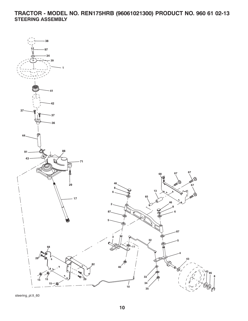**TRACTOR - MODEL NO. REN175HRB (96061021300) PRODUCT NO. 960 61 02-13 STEERING ASSEMBLY**



steering\_pl.lt\_60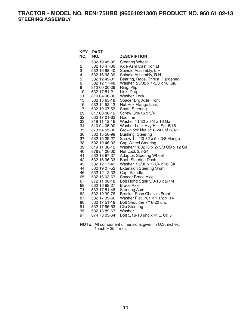**TRACTOR - MODEL NO. REN175HRB (96061021300) PRODUCT NO. 960 61 02-13 STEERING ASSEMBLY**

| <b>KEY</b>     | <b>PART</b>  |                                      |
|----------------|--------------|--------------------------------------|
| NO.            | NO.          | <b>DESCRIPTION</b>                   |
| 1              | 532 19 45-95 | <b>Steering Wheel</b>                |
| $\overline{c}$ | 532 18 47-06 | Axle Asm Cast Iron Lt                |
| 3              | 532 16 98-40 | Spindle Assembly, L.H.               |
| 4              | 532 16 98-39 | Spindle Assembly, R.H.               |
| 5              | 532 12 49-31 | Bearing, Race, Thrust, Hardened      |
| 6              | 532 12 17-48 | Washer 25/32 x 1-5/8 x 16 Ga.        |
| 8              | 812 00 00-29 | Ring, Klip                           |
| 10             | 532 17 51-21 | Link, Drag                           |
| 11             | 810 04 06-00 | Washer, Lock                         |
| 13             | 532 13 65-18 | Spacer Brg Axle Front                |
| 15             | 532 14 52-12 | Nut Hex Flange Lock                  |
| 17             | 532 19 07-53 | Shaft, Steering                      |
| 29             | 817 00 06-12 | Screw 3/8-16 x 3/4                   |
| 32             | 532 17 01-62 | Rod, Tie                             |
| 33             | 819 11 12-16 | Washer 11/32 x 3/4 x 16 Ga.          |
| 34             | 810 04 05-00 | Washer Lock Hvy Hlcl Spr 5/16        |
| 35             | 873 54 05-00 | Crownlock Nut 5/16-24 unf 3847       |
| 36             | 532 15 50-99 | Bushing, Steering                    |
| 37             | 532 15 29-27 | Screw TT #10-32 x 5 x 3/8 Flange     |
| 38             | 532 19 46-03 | Cap Wheel Steering                   |
| 39             | 819 11 38-12 | Washer 11/32 ID x 2- 3/8 OD x 12 Ga. |
| 40             | 876 54 06-00 | Nut Lock 3/8-24                      |
| 41             | 532 18 67-37 | Adaptor, Steering Wheel              |
| 42             | 532 16 96-33 | Boot, Steering Dash                  |
| 43             | 532 12 17-49 | Washer 25/32 x 1-1/4 x 16 Ga.        |
| 44             | 532 19 07-52 | <b>Extension Steering Shaft</b>      |
| 46             | 532 12 12-32 | Cap, Spindle                         |
| 65             | 532 16 03-67 | Spacer Brace Axle                    |
| 67             | 872 11 06-18 | Bolt Rdhd Sqnk 3/8-16 x 2-1/4        |
| 68             | 532 16 98-27 | <b>Brace Axle</b>                    |
| 71             | 532 17 51-46 | Steering Asm.                        |
| 82             | 532 19 99-78 | <b>Bracket Susp Chassis Front</b>    |
| 87             | 532 17 39-66 | Washer Flat .781 x 1 1/2 x .14       |
| 88             | 532 17 51-18 | Bolt Shoulder 7/16-20 unc            |
| 91             | 532 17 55-53 | Clip Steering                        |
| 95             | 532 18 89-67 | Washer                               |
| 97             | 874 78 05-64 | Bolt 5/16-18 unc x 4" L. Gr. 5       |

**NOTE:** All component dimensions given in U.S. inches. 1 inch =  $25.4$  mm.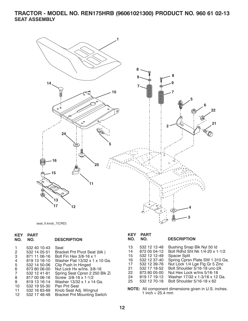### **TRACTOR - MODEL NO. REN175HRB (96061021300) PRODUCT NO. 960 61 02-13 SEAT ASSEMBLY**



seat\_lt.knob\_7(CRD)

### **KEY PART**

| NO. | NO. | <b>DESCRIPTION</b> |
|-----|-----|--------------------|
|     |     |                    |

| 532 40 10-43 | Seat                               |
|--------------|------------------------------------|
| 532 14 05-51 | Bracket Pnt Pivot Seat (blk)       |
| 871 11 06-16 | Bolt Fin Hex 3/8-16 x 1            |
| 819 13 16-10 | Washer Flat 13/32 x 1 x 10 Ga.     |
| 532 14 50-06 | Clip Push In Hinged                |
| 873 80 06-00 | Nut Lock Hx w/Ins. 3/8-16          |
| 532 12 41-81 | Spring Seat Cprsn 2 250 Blk Zi     |
| 817 00 06-16 | Screw 3/8-16 x 1-1/2               |
| 819 13 16-14 | Washer 13/32 x 1 x 14 Ga.          |
| 532 19 55-30 | Pan Pnt Seat                       |
| 532 16 63-69 | Knob Seat Adj. Wingnut             |
| 532 17 46-48 | <b>Bracket Pnt Mounting Switch</b> |
|              |                                    |

|         | <b>KEY PART</b> |                    |
|---------|-----------------|--------------------|
| NO. NO. |                 | <b>DESCRIPTION</b> |

|  | 13 532 12 12-48 Bushing Snap Blk Nyl 50 ld |
|--|--------------------------------------------|

| .  | UUL IL IL TU | <b>DUSTINITY OTTAP DIN TYPE OF TH</b> |
|----|--------------|---------------------------------------|
| 14 | 872 05 04-12 | Bolt Rdhd Sht Nk 1/4-20 x 1-1/2       |
| 15 | 532 12 12-49 | <b>Spacer Split</b>                   |
| 16 | 532 12 37-40 | Spring Cprsn Plate SW 1.310 Ga.       |
| 17 | 532 12 39-76 | Nut Lock 1/4 Lge Flg Gr 5 Zinc        |
| 21 | 532 17 18-52 | Bolt Shoulder 5/16-18 unc-2A          |
|    |              |                                       |

- 
- 22 873 80 05-00 Nut Hex Lock w/Ins 5/16-18 24 819 17 19-12 Washer 17/32 x 1-3/16 x 12 Ga.
- Bolt Shoulder  $5/16-18 \times 62$
- **NOTE:** All component dimensions given in U.S. inches. 1 inch =  $25.4 \, \text{mm}$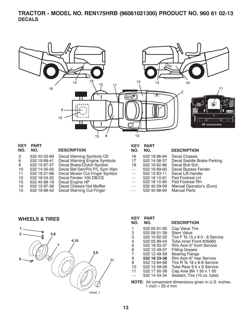## **TRACTOR - MODEL NO. REN175HRB (96061021300) PRODUCT NO. 960 61 02-13 DECALS**



| KEY     | <b>PART</b>  |                               |
|---------|--------------|-------------------------------|
| NO.     | NO.          | <b>DESCRIPTION</b>            |
| 2       | 532 40 03-89 | Decal Warning Symbols CE      |
| 6       | 532 19 68-41 | Decal Warning Engine Symbols  |
| 8       | 532 15 97-37 | Decal Brake/Clutch Symbol     |
| 10      | 532 14 50-05 | Decal Bat Dan/Poi P/L Sym Wpn |
| 11      | 532 18 21-66 | Decal Mower Cut Finger Symbol |
| $12 \,$ | 532 18 04-32 | Decal Fender 100 DB/CE        |
| 13      | 532 40 88-19 | Decal Engine HP               |
| 14      | 532 15 97-36 | Decal Chassis Hot Muffler     |
| 15      | 532 19 68-42 | Decal Warning Cut Finger      |

**KEY PART** 

| NO.                 | NO.          | <b>DESCRIPTION</b>         |
|---------------------|--------------|----------------------------|
| 16                  | 532 18 96-94 | Decal Chassis              |
| 17                  | 532 14 08-37 | Decal Saddle Brake Parking |
| 18                  | 532 16 62-86 | Decal Bolt Sch.            |
| $\sim$ $\sim$       | 532 16 69-60 | Decal Bypass Fender        |
| $\sim$ $\sim$       | 532 13 83-11 | Decal Lift Handle          |
| $\omega_{\rm{eff}}$ | 532 18 10-91 | Pad Footrest LH            |
| $\omega_{\rm c}$ .  | 532 18 10-90 | Pad Footrest RH            |
| $\omega$ $\omega$   | 532 40 09-09 | Manual Operator's (Euro)   |
| $\omega_{\rm{eff}}$ | 532 40 98-94 | <b>Manual Parts</b>        |

**WHEELS & TIRES**



| KEY<br>NO. | <b>PART</b><br>NO. | <b>DESCRIPTION</b>                   |
|------------|--------------------|--------------------------------------|
| 1          | 532 05 91-92       | Cap Value Tire                       |
| 2          | 532 06 51-39       | <b>Stem Value</b>                    |
| 3          | 532 10 62-22       | Tire F Ts $15 \times 60 - 6$ Service |
| 4          | 532 05 99-04       | Tube Inner Front #35060              |
| 5          | 532 18 33-37       | Rim Asm 6" front Service             |
| 6          | 532 12 49-57       | <b>Fitting Grease</b>                |
| 7          | 532 12 49-59       | <b>Bearing Flange</b>                |
| 8          | 532 18 33-38       | Rim Asm 8" rear Service              |
| 9          | 532 13 84-68       | Tire R Ts 18 x 8-8 Service           |
| 10         | 532 12 49-26       | Tube Rear 9 5 x 8 Service            |
| 11         | 532 17 50-39       | Cap Axle Blk 1 50 x 1 00             |
|            | 532 14 43-34       | Sealant, Tire (10 oz. tube)          |
|            |                    |                                      |

**NOTE:** All component dimensions given in U.S. inches. 1 inch =  $25.4 \, \text{mm}$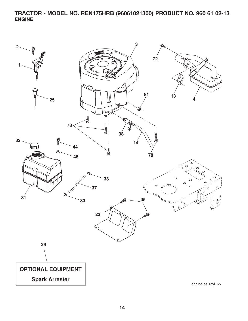**TRACTOR - MODEL NO. REN175HRB (96061021300) PRODUCT NO. 960 61 02-13 ENGINE**

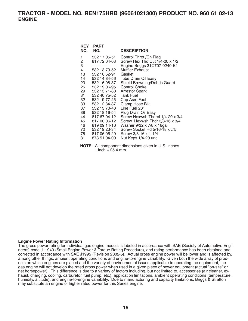| KEY<br>NO.                                                 | <b>PART</b><br>NO.                                                                                                                                           | <b>DESCRIPTION</b>                                                                                                                                                                                                                                                 |
|------------------------------------------------------------|--------------------------------------------------------------------------------------------------------------------------------------------------------------|--------------------------------------------------------------------------------------------------------------------------------------------------------------------------------------------------------------------------------------------------------------------|
| 1<br>2<br>3<br>4<br>13<br>14<br>23<br>25<br>29<br>31<br>32 | 532 17 05-51<br>817 72 04-08<br>532 13 73-52<br>532 16 52-91<br>532 14 84-56<br>532 16 98-37<br>532 19 06-95<br>532 13 71-80<br>532 40 75-52<br>532 19 77-25 | Control Throt / Ch Flag<br>Screw Hex Thd Cut 1/4-20 x 1/2<br>Engine Briggs 31C707-0240-B1<br>Muffler Exhaust<br>Gasket<br>Tube Drain Oil Easy<br>Shield Browning/Debris Guard<br><b>Control Choke</b><br><b>Arrestor Spark</b><br><b>Tank Fuel</b><br>Cap Asm Fuel |
| 33<br>37<br>38<br>44<br>45<br>46<br>72<br>78 —<br>81       | 532 12 34-87<br>532 13 70-40<br>532 18 16-54<br>817 67 04-12<br>817 00 06-12<br>819 09 14-16<br>532 19 23-34<br>817 06 06-20<br>873 51 04-00                 | Clamp Hose Blk<br>Line Fuel 20"<br>Plug Drain Oil Easy<br>Screw Hexwsh Thdrol 1/4-20 x 3/4<br>Screw Hexwsh Thdr 3/8-16 x 3/4<br>Washer 9/32 x 7/8 x 16ga<br>Screw Socket Hd 5/16-18 x .75<br>Screw 3/8-16 x 1-1/4<br>Nut Keps 1/4-20 unc                           |

**NOTE:** All component dimensions given in U.S. inches. 1 inch =  $25.4 \, \text{mm}$ 

#### **Engine Power Rating Information**

The gross power rating for individual gas engine models is labeled in accordance with SAE (Society of Automotive Engineers) code J11940 (Small Engine Power & Torque Rating Procedure), and rating performance has been obtained and corrected in accordance with SAE J1995 (Revision 2002-5). Actual gross engine power will be lower and is affected by, among other things, ambient operating conditions and engine-to-engine variability. Given both the wide array of products on which engines are placed and the variety of environmental issues applicable to operating the equipment, the gas engine will not develop the rated gross power when used in a given piece of power equipment (actual "on-site" or net horsepower). This difference is due to a variety of factors including, but not limited to, accessories (air cleaner, exhaust, charging, cooling, carburetor, fuel pump, etc.), application limitations, ambient operating conditions (temperature, humidity, altitude), and engine-to-engine variability. Due to manufacturing and capacity limitations, Briggs & Stratton may substitute an engine of higher rated power for this Series engine.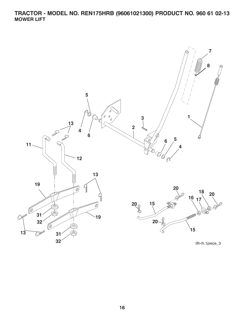## **TRACTOR - MODEL NO. REN175HRB (96061021300) PRODUCT NO. 960 61 02-13 MOWER LIFT**

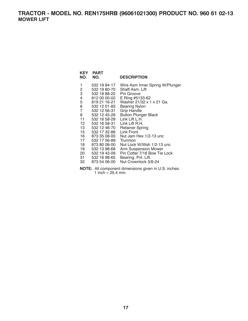## **TRACTOR - MODEL NO. REN175HRB (96061021300) PRODUCT NO. 960 61 02-13 MOWER LIFT**

| KEY<br>NO.     | <b>PART</b><br>NO. | <b>DESCRIPTION</b>              |
|----------------|--------------------|---------------------------------|
| 1              | 532 19 84-17       | Wire Asm Inner Spring W/Plunger |
| 2              | 532 19 80-70       | Shaft Asm. Lift                 |
| 3              | 532 18 88-22       | Pin Groove                      |
| 4              | 812 00 00-02       | E Ring #5133-62                 |
| 5              | 819 21 16-21       | Washer 21/32 x 1 x 21 Ga.       |
| 6              | 532 12 01-83       | <b>Bearing Nylon</b>            |
| $\overline{7}$ | 532 12 56-31       | Grip Handle                     |
| 8              | 532 12 45-26       | <b>Button Plunger Black</b>     |
| 11             | 532 16 58-29       | Link Lift L.H.                  |
| $12-12$        | 532 16 58-31       | Link Lift R.H.                  |
| 13             | 532 12 46-70       | <b>Retainer Spring</b>          |
| 15             | 532 17 32-88       | Link Front                      |
| 16             | 873 35 08-00       | Nut Jam Hex 1/2-13 unc          |
| 17             | 532 17 56-89       | Trunnion                        |
| 18             | 873 80 08-00       | Nut Lock W/Wsh 1/2-13 unc       |
| 19             | 532 13 98-68       | <b>Arm Suspension Mower</b>     |
| 20             | 532 19 42-09       | Pin Cotter 7/16 Bow Tie Lock    |
| 31 -           | 532 16 98-65       | Bearing, Pvt. Lift.             |
| 32             | 873 54 06-00       | Nut Crownlock 3/8-24            |

**NOTE:** All component dimensions given in U.S. inches. 1 inch =  $25.4 \, \text{mm}$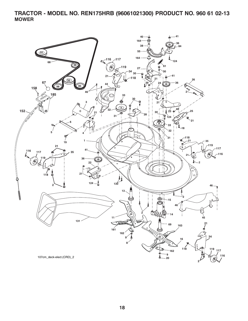**TRACTOR - MODEL NO. REN175HRB (96061021300) PRODUCT NO. 960 61 02-13 MOWER**

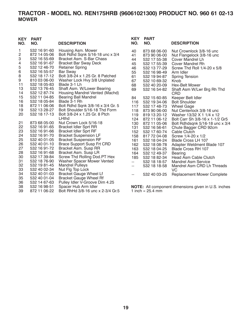## **TRACTOR - MODEL NO. REN175HRB (96061021300) PRODUCT NO. 960 61 02-13 MOWER**

| <b>KEY</b><br>NO. | <b>PART</b><br>NO. | <b>DESCRIPTION</b>                | <b>KEY</b><br>NO. | <b>PART</b><br>NO.         | <b>DESCRIPTION</b>                                         |
|-------------------|--------------------|-----------------------------------|-------------------|----------------------------|------------------------------------------------------------|
| 1                 | 532 16 91-60       | Housing Asm. Mower                | 40                | 873 68 06-00               | Nut Crownlock 3/8-16 unc                                   |
| 2                 | 872 14 05-06       | Bolt Rdhd Sqnk 5/16-18 unc x 3/4  | 41                | 873 90 06-00               | Nut Flangelock 3/8-16 unc                                  |
| 3                 | 532 16 55-69       | Bracket Asm. S-Bar Chass          | 44                | 532 17 55-38               | <b>Cover Mandrel Lh</b>                                    |
| 4                 | 532 16 91-67       | <b>Bracket Bar Sway Deck</b>      | 45                | 532 17 55-39               | Cover Mandrel Rh                                           |
| 5                 | 532 12 46-70       | <b>Retainer Spring</b>            | 46                | 532 13 77-29               | Screw Thd Roll 1/4-20 x 5/8                                |
| 6                 | 532 16 55-57       | <b>Bar Sway</b>                   | 55                | 532 16 98-49               | Arm Idler                                                  |
| 8                 | 532 18 17-12       | Bolt 3/8-24 x 1.25 Gr. 8 Patched  | 61                | 532 19 94-87               | <b>Spring Tension</b>                                      |
| 9                 | 810 03 06-00       | Washer Lock Hvy 3/8 Unplated      | 67                | 532 10 69-32               | Knob                                                       |
| 11                | 532 18 05-83       | Blade 3-1 Lh                      | 68                | 532 40 20-09               | Hex-Belt Mower                                             |
| 13                | 532 13 76-45       | Shaft Asm. W/Lower Bearing        | 69                | 532 16 54-82               | Shaft Asm W/Lwr Brg Rh Thd                                 |
| 14                | 532 12 87-74       | Housing Mandrel Vented (Machd)    |                   |                            | <b>CRD</b>                                                 |
| 15                | 532 11 04-85       | <b>Bearing Ball Mandrel</b>       | 84                | 532 15 60-85               | Keeper Belt Idler                                          |
| 16                | 532 18 05-84       | Blade 3-1 Rh                      | 116               | 532 19 34-06               | <b>Bolt Shoulder</b>                                       |
| 18                | 872 11 06-06       | Bolt Rdhd Sqnk 3/8-16 x 3/4 Gr. 5 | 117               | 532 17 48-73               | <b>Wheel Gage</b>                                          |
| 19                | 532 13 28-27       | Bolt Shoulder 5/16-18 Thd Form    | 118               | 873 90 06-00               | Nut Centerlock 3/8-16 unc                                  |
| 20                | 532 18 17-13       | Bolt 3/8-24 x 1.25 Gr. 8 Ptch     | 119               | 819 13 20-12               | Washer 13/32 X 1 1/4 x 12                                  |
|                   |                    | LHthd                             | 124               | 872 11 06-12               | Bolt Carr Sh 3/8-16 x 1-1/2 Gr5                            |
| 21                | 873 68 05-00       | Nut Crown Lock 5/16-18            | 130               | 872 11 05-06               | Bolt Rdhdsqnk 5/16-18 unc x 3/4                            |
| 22                | 532 16 91-65       | <b>Bracket Idler Sprt RR</b>      | 131               | 532 16 56-61               | Chute Bagger CRD 92cm                                      |
| 23                | 532 16 91-66       | <b>Bracket Idler Sprt RF</b>      | 152               | 532 17 60-74               | Cable Clutch                                               |
| 24                | 532 16 91-70       | <b>Bracket Suspension LF</b>      | 158               | 817 72 04-08               | Screw 1/4-20 x 1/2                                         |
| 25                | 532 40 01-05       | <b>Bracket Suspension RF</b>      | 161               | 532 18 04-24               | Blade Cross LH 107                                         |
| 26                | 532 40 01-10       | <b>Brace Support Susp Frt CRD</b> | 162               | 532 18 08-78               | Adapter Weldment Blade 107                                 |
| 27                | 532 16 91-72       | Bracket Asm. Susp RR              | 163               | 532 18 04-25               | Blade Cross RH 107                                         |
| 28                | 532 16 91-68       | Bracket Asm. Susp LR              | 164               | 532 12 49-37               | Bearing                                                    |
| 30                | 532 17 39-84       | Screw Thd Rolling Dod.PT Hex      | 185               | 532 18 82-34               | Head Asm Cable Clutch                                      |
| 31                | 532 18 76-90       | Washer Spacer Mower Vented        | $\overline{a}$    | 532 18 18-57               | <b>Mandrel Asm Service</b>                                 |
| 32                | 532 19 81-45       | <b>Mandrel Pulleys</b>            | --                | 532 18 18-58               | Mandrel Asm CRD Lh Threads                                 |
| 33                | 532 40 02-34       | Nut Flg Top Lock                  |                   |                            | VC                                                         |
| 34                | 532 40 01-03       | <b>Bracket Gauge Wheel Lf</b>     | --                | 532 40 03-25               | <b>Replacement Mower Complete</b>                          |
| 35                | 532 40 01-04       | <b>Bracket Gauge Wheel Rf</b>     |                   |                            |                                                            |
| 36                | 532 14 67-63       | Pulley Idler V-Groove Dim 4.25    |                   |                            |                                                            |
| 38                | 532 16 98-51       | Spacer Hub Arm Idler              |                   |                            | <b>NOTE:</b> All component dimensions given in U.S. inches |
| 39                | 872 11 06-22       | Bolt RhHd 3/8-16 unc x 2-3/4 Gr.5 |                   | 1 inch = $25.4 \text{ mm}$ |                                                            |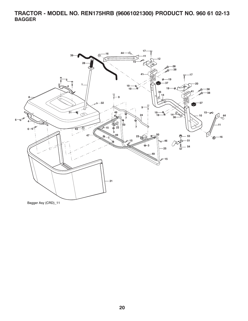**TRACTOR - MODEL NO. REN175HRB (96061021300) PRODUCT NO. 960 61 02-13 BAGGER**



Bagger Asy (CRD)\_11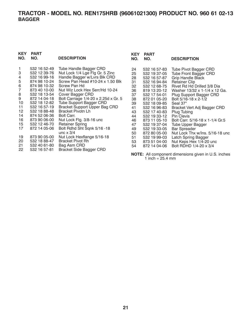## **TRACTOR - MODEL NO. REN175HRB (96061021300) PRODUCT NO. 960 61 02-13 BAGGER**

## **KEY PART**

| NO.                   | NO.                                                                          | <b>DESCRIPTION</b>                                                                                                                                   |
|-----------------------|------------------------------------------------------------------------------|------------------------------------------------------------------------------------------------------------------------------------------------------|
| 1<br>3<br>4<br>5<br>6 | 532 16 52-49<br>532 12 39-76<br>532 16 99-16<br>874 98 10-24<br>874 98 10-32 | <b>Tube Handle Bagger CRD</b><br>Nut Lock 1/4 Lge Flg Gr. 5 Zinc<br>Handle Bagger w/Lvrs Blk CRD<br>Screw Pan Head #10-24 x 1.50 Blk<br>Screw Pan Hd |
| 7                     | 873 40 10-00                                                                 | Nut Wiz Lock Hex Serr/Hd 10-24                                                                                                                       |
| 8                     | 532 18 13-54                                                                 | Cover Bagger CRD                                                                                                                                     |
| 9                     | 872 14 04-18                                                                 | Bolt Carriage 1/4-20 x 2.25d x Gr. 5                                                                                                                 |
| 10                    | 532 18 12-82                                                                 | <b>Tube Support Bagger CRD</b>                                                                                                                       |
| 11                    | 532 16 57-19                                                                 | <b>Bracket Support Upper Bag CRD</b>                                                                                                                 |
| 12 <sup>1</sup>       | 532 18 88-48                                                                 | <b>Bracket Pivotn Lh</b>                                                                                                                             |
| 14                    | 874 52 06-36                                                                 | Bolt Carr.                                                                                                                                           |
| 16                    | 873 90 06-00                                                                 | Nut Lock Flg. 3/8-16 unc                                                                                                                             |
| 15                    | 532 12 46-70                                                                 | <b>Retainer Spring</b>                                                                                                                               |
| 17                    | 872 14 05-06                                                                 | Bolt Rdhd Sht Sqnk 5/16 -18<br>unc $\times$ 3/4                                                                                                      |
| 19                    | 873 90 05-00                                                                 | Nut Lock Hexflange 5/16-18                                                                                                                           |
| 20                    | 532 18 88-47                                                                 | Bracket Pivot Rh                                                                                                                                     |
| 21                    | 532 40 61-80                                                                 | Bag Asm CRD                                                                                                                                          |
| 22                    | 532 16 57-81                                                                 | <b>Bracket Side Bagger CRD</b>                                                                                                                       |

| <b>KEY</b><br>NO.                                                                                              | <b>PART</b><br>NO.                                                                                                                                                                                                                                                                                           | <b>DESCRIPTION</b>                                                                                                                                                                                                                                                                                                                                                                                                                                                                                        |
|----------------------------------------------------------------------------------------------------------------|--------------------------------------------------------------------------------------------------------------------------------------------------------------------------------------------------------------------------------------------------------------------------------------------------------------|-----------------------------------------------------------------------------------------------------------------------------------------------------------------------------------------------------------------------------------------------------------------------------------------------------------------------------------------------------------------------------------------------------------------------------------------------------------------------------------------------------------|
|                                                                                                                |                                                                                                                                                                                                                                                                                                              |                                                                                                                                                                                                                                                                                                                                                                                                                                                                                                           |
| 24<br>25<br>28<br>31<br>32<br>36<br>37<br>38<br>39<br>41<br>43<br>44<br>46<br>47<br>49<br>50<br>51<br>53<br>54 | 532 16 57-83<br>532 19 37-05<br>532 16 57-87<br>532 16 94-84<br>532 12 68-75<br>819 13 20-12<br>532 17 54-01<br>872 01 05-20<br>532 18 09-85<br>532 16 96-83<br>532 17 40-83<br>532 19 33-12<br>873 11 05-10<br>532 19 37-04<br>532 19 33-05<br>872 80 05-00<br>532 19 99-03<br>873 51 04-00<br>872 14 04-06 | <b>Tube Pivot Bagger CRD</b><br>Tube Front Bagger CRD<br><b>Grip Handle Black</b><br><b>Retainer Clip</b><br>Rivet Rd Hd Drilled 3/8 Dia<br>Washer 13/32 x 1-1/4 x 12 Ga.<br>Plug Support Bagger CRD<br>Bolt 5/16-18 x 2-1/2<br>Seal 37"<br>Bracket Vert Adj Bagger CRD<br>Plug Tubing<br>Pin Clevis<br>Bolt Carr. 5/16-18 x 1-1/4 Gr.5<br><b>Tube Upper Bagger</b><br><b>Bar Spreader</b><br>Nut Lock Thx w/lns. 5/16-18 unc<br>Latch Spring Bagger<br>Nut Keps Hex 1/4-20 unc<br>Bolt RDHD 1/4-20 x 3/4 |
|                                                                                                                |                                                                                                                                                                                                                                                                                                              |                                                                                                                                                                                                                                                                                                                                                                                                                                                                                                           |

**NOTE:** All component dimensions given in U.S. inches 1 inch =  $25.4$  mm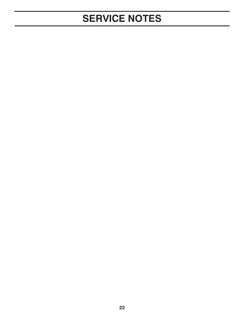## **SERVICE NOTES**